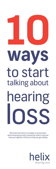

We know how hard it is to begin a conversation about hearing loss with a loved one, which is why we have put together 10 facts to help you get talking